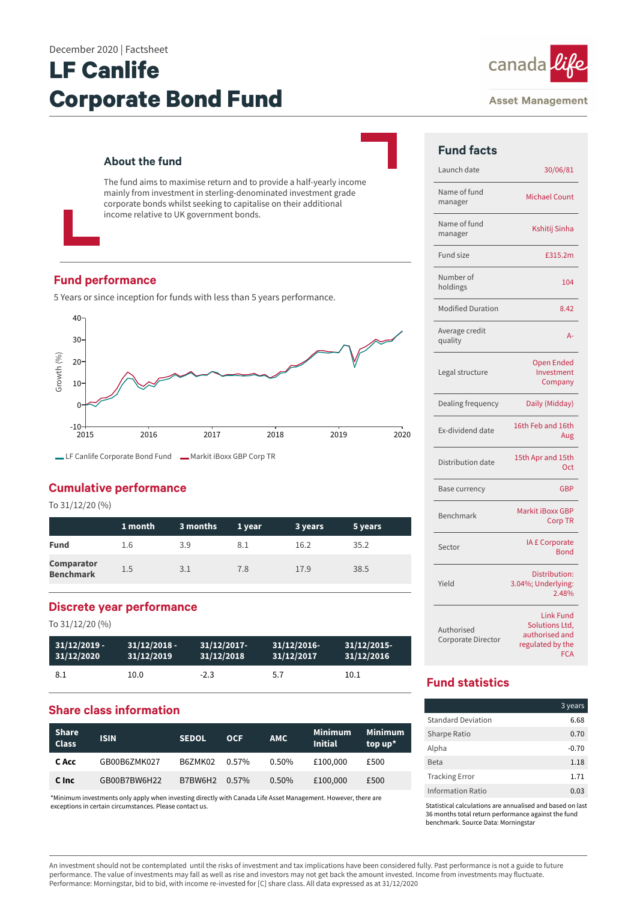# **LF Canlife Corporate Bond Fund**

#### **About the fund**

The fund aims to maximise return and to provide a half-yearly income mainly from investment in sterling-denominated investment grade corporate bonds whilst seeking to capitalise on their additional income relative to UK government bonds.

#### **Fund performance**

5 Years or since inception for funds with less than 5 years performance.



### **Cumulative performance**

To 31/12/20 (%)

|                                       | 1 month | 3 months | 1 year | 3 years | 5 years |
|---------------------------------------|---------|----------|--------|---------|---------|
| <b>Fund</b>                           | 1.6     | 3.9      | 8.1    | 16.2    | 35.2    |
| <b>Comparator</b><br><b>Benchmark</b> | 1.5     | 3.1      | 7.8    | 17.9    | 38.5    |

#### **Discrete year performance**

To 31/12/20 (%)

| $31/12/2019 -$ | $31/12/2018 -$ | $31/12/2017$ - | 31/12/2016- | $31/12/2015$ - |
|----------------|----------------|----------------|-------------|----------------|
| 31/12/2020     | 31/12/2019     | 31/12/2018     | 31/12/2017  | 31/12/2016     |
| 8.1            | 10.0           | $-2.3$         | 5.7         | 10.1           |

### **Share class information**

| <b>Share</b><br><b>Class</b> | <b>ISIN</b>  | <b>SEDOL</b> | <b>OCF</b> | <b>AMC</b> | Minimum<br><b>Initial</b> | <b>Minimum</b><br>top $up^*$ |
|------------------------------|--------------|--------------|------------|------------|---------------------------|------------------------------|
| C Acc                        | GB00B6ZMK027 | B6ZMK02      | 0.57%      | $0.50\%$   | £100,000                  | £500                         |
| C Inc                        | GB00B7BW6H22 | B7BW6H2      | $0.57\%$   | 0.50%      | £100,000                  | £500                         |

\*Minimum investments only apply when investing directly with Canada Life Asset Management. However, there are exceptions in certain circumstances. Please contact us.



#### **Asset Management**

| <b>Fund facts</b>                |                                                                                        |
|----------------------------------|----------------------------------------------------------------------------------------|
| Launch date                      | 30/06/81                                                                               |
| Name of fund<br>manager          | <b>Michael Count</b>                                                                   |
| Name of fund<br>manager          | Kshitij Sinha                                                                          |
| Fund size                        | £315.2m                                                                                |
| Number of<br>holdings            | 104                                                                                    |
| <b>Modified Duration</b>         | 8.42                                                                                   |
| Average credit<br>quality        | $A -$                                                                                  |
| Legal structure                  | <b>Open Ended</b><br>Investment<br>Company                                             |
| Dealing frequency                | Daily (Midday)                                                                         |
| Ex-dividend date                 | 16th Feb and 16th<br>Aug                                                               |
| Distribution date                | 15th Apr and 15th<br>Oct                                                               |
| <b>Base currency</b>             | <b>GBP</b>                                                                             |
| Benchmark                        | <b>Markit iBoxx GBP</b><br><b>Corp TR</b>                                              |
| Sector                           | IA £ Corporate<br><b>Bond</b>                                                          |
| Yield                            | Distribution:<br>3.04%; Underlying:<br>2.48%                                           |
| Authorised<br>Corporate Director | <b>Link Fund</b><br>Solutions Ltd,<br>authorised and<br>regulated by the<br><b>FCA</b> |

# **Fund statistics**

|                           | 3 years |
|---------------------------|---------|
| <b>Standard Deviation</b> | 6.68    |
| Sharpe Ratio              | 0.70    |
| Alpha                     | $-0.70$ |
| <b>Beta</b>               | 1.18    |
| <b>Tracking Error</b>     | 1.71    |
| Information Ratio         | 0.03    |

Statistical calculations are annualised and based on last 36 months total return performance against the fund benchmark. Source Data: Morningstar

An investment should not be contemplated until the risks of investment and tax implications have been considered fully. Past performance is not a guide to future performance. The value of investments may fall as well as rise and investors may not get back the amount invested. Income from investments may fluctuate. Performance: Morningstar, bid to bid, with income re-invested for [C] share class. All data expressed as at 31/12/2020